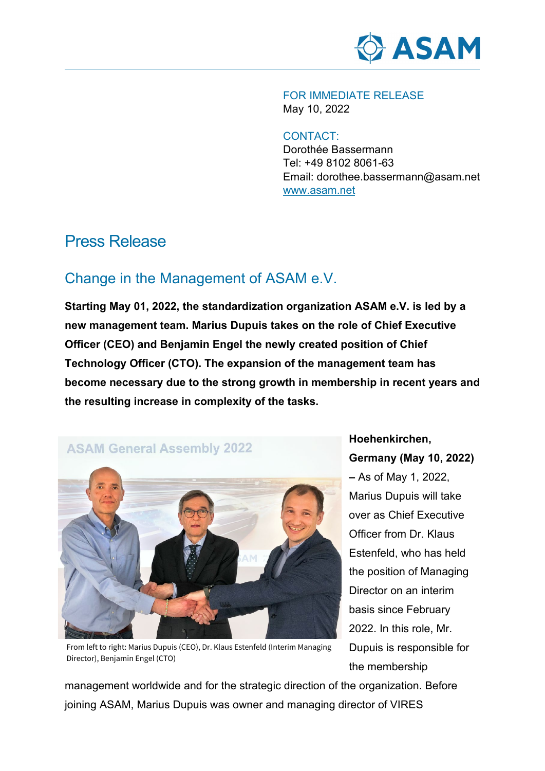

FOR IMMEDIATE RELEASE May 10, 2022

CONTACT:

Dorothée Bassermann Tel: +49 8102 8061-63 Email: dorothee.bassermann@asam.net www.asam.net

## Press Release

## Change in the Management of ASAM e.V.

**Starting May 01, 2022, the standardization organization ASAM e.V. is led by a new management team. Marius Dupuis takes on the role of Chief Executive Officer (CEO) and Benjamin Engel the newly created position of Chief Technology Officer (CTO). The expansion of the management team has become necessary due to the strong growth in membership in recent years and the resulting increase in complexity of the tasks.**



**Hoehenkirchen, Germany (May 10, 2022) –** As of May 1, 2022, Marius Dupuis will take over as Chief Executive Officer from Dr. Klaus Estenfeld, who has held the position of Managing Director on an interim basis since February 2022. In this role, Mr. Dupuis is responsible for the membership

From left to right: Marius Dupuis (CEO), Dr. Klaus Estenfeld (Interim Managing Director), Benjamin Engel (CTO)

management worldwide and for the strategic direction of the organization. Before joining ASAM, Marius Dupuis was owner and managing director of VIRES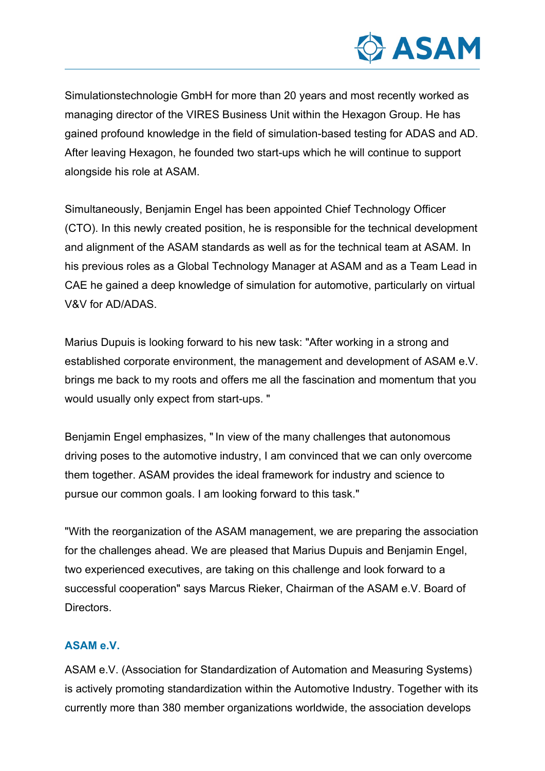

Simulationstechnologie GmbH for more than 20 years and most recently worked as managing director of the VIRES Business Unit within the Hexagon Group. He has gained profound knowledge in the field of simulation-based testing for ADAS and AD. After leaving Hexagon, he founded two start-ups which he will continue to support alongside his role at ASAM.

Simultaneously, Benjamin Engel has been appointed Chief Technology Officer (CTO). In this newly created position, he is responsible for the technical development and alignment of the ASAM standards as well as for the technical team at ASAM. In his previous roles as a Global Technology Manager at ASAM and as a Team Lead in CAE he gained a deep knowledge of simulation for automotive, particularly on virtual V&V for AD/ADAS.

Marius Dupuis is looking forward to his new task: "After working in a strong and established corporate environment, the management and development of ASAM e.V. brings me back to my roots and offers me all the fascination and momentum that you would usually only expect from start-ups. "

Benjamin Engel emphasizes, " In view of the many challenges that autonomous driving poses to the automotive industry, I am convinced that we can only overcome them together. ASAM provides the ideal framework for industry and science to pursue our common goals. I am looking forward to this task."

"With the reorganization of the ASAM management, we are preparing the association for the challenges ahead. We are pleased that Marius Dupuis and Benjamin Engel, two experienced executives, are taking on this challenge and look forward to a successful cooperation" says Marcus Rieker, Chairman of the ASAM e.V. Board of **Directors** 

## **ASAM e.V.**

ASAM e.V. (Association for Standardization of Automation and Measuring Systems) is actively promoting standardization within the Automotive Industry. Together with its currently more than 380 member organizations worldwide, the association develops